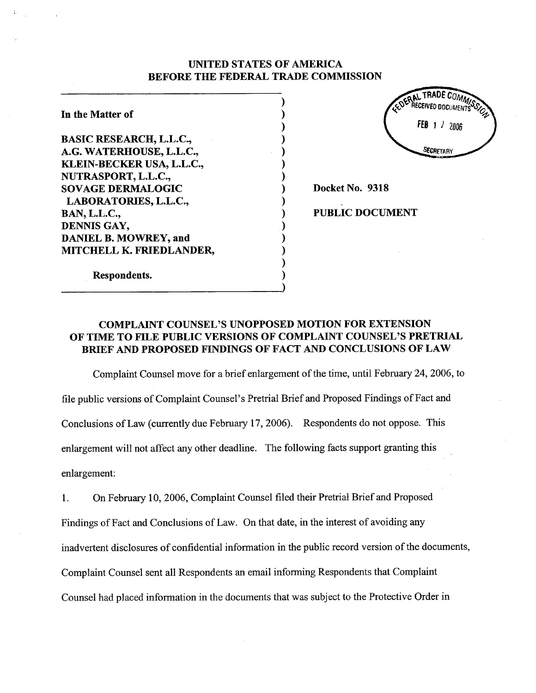## UNITED STATES OF AMERICA BEFORE THE FEDERAL TRADE COMMISSION

) ) ) ) ) ) ) ) ) ) ) ) ) ) ) )

In the Matter of BASIC RESEARCH, L.L.C., A.G. WATERHOUSE, L.L.C., KLEIN-BECKER USA, L.L.c., NUTRASPORT, L.L.c., SOVAGE DERMALOGIC LABORATORIES, L.L.C., BAN, L.L.c., DENNIS GAY, DANIEL B. MOWREY, and MITCHELL K. FREDLANDER,



Docket No. 9318

PUBLIC DOCUMENT

Respondents.

# COMPLAINT COUNSEL'S UNOPPOSED MOTION FOR EXTENSION OF TIME TO FILE PUBLIC VERSIONS OF COMPLAINT COUNSEL'S PRETRIAL BRIEF AND PROPOSED FINDINGS OF FACT AND CONCLUSIONS OF LAW

Complaint Counsel move for a brief enlargement of the time, until February 24,2006, to file public versions of Complaint Counsel's Pretrial Brief and Proposed Findings of Fact and Conclusions of Law (curently due February 17, 2006). Respondents do not oppose. This enlargement will not affect any other deadline. The following facts support granting this enlargement:

1. On February 10, 2006, Complaint Counsel filed their Pretrial Brief and Proposed Findings of Fact and Conclusions of Law. On that date, in the interest of avoiding any inadvertent disclosures of confidential information in the public record version of the documents, Complaint Counsel sent all Respondents an email informing Respondents that Complaint Counsel had placed information in the documents that was subject to the Protective Order in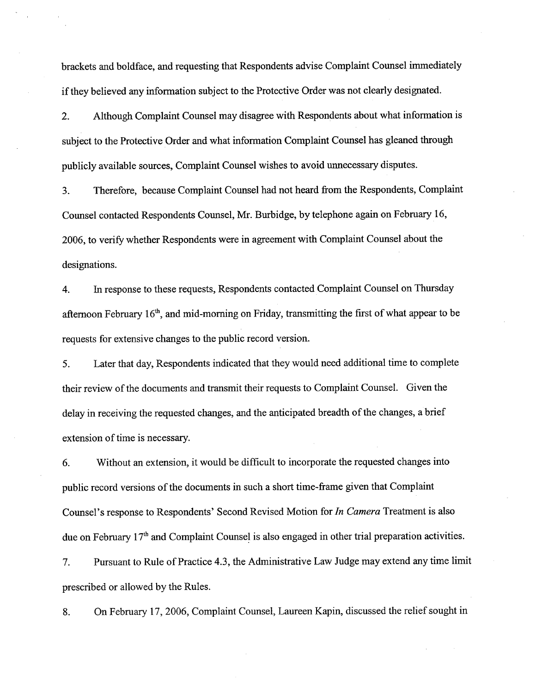brackets and boldface, and requesting that Respondents advise Complaint Counsel immediately if they believed any information subject to the Protective Order was not clearly designated.

2. Although Complaint Counsel may disagree with Respondents about what information is subject to the Protective Order and what information Complaint Counsel has gleaned through publicly available sources, Complaint Counsel wishes to avoid unnecessary disputes.

3. Therefore, because Complaint Counsel had not heard from the Respondents, Complaint Counsel contacted Respondents Counsel, Mr. Burbidge, by telephone again on February 16, 2006, to verify whether Respondents were in agreement with Complaint Counsel about the designations.

4. In response to these requests, Respondents contacted Complaint Counsel on Thursday afternoon February  $16<sup>th</sup>$ , and mid-morning on Friday, transmitting the first of what appear to be requests for extensive changes to the public record version.

5. Later that day, Respondents indicated that they would need additional time to complete their review of the documents and transmit their requests to Complaint CounseL. Given the delay in receiving the requested changes, and the anticipated breadth of the changes, a brief extension of time is necessary.

6. Without an extension, it would be diffcult to incorporate the requested changes into public record versions of the documents in such a short time-frame given that Complaint Counsel's response to Respondents' Second Revised Motion for In Camera Treatment is also due on February 17<sup>th</sup> and Complaint Counsel is also engaged in other trial preparation activities.

7. Pursuant to Rule of Practice 4.3, the Administrative Law Judge may extend any time limit prescribed or allowed by the Rules.

8. On February 17, 2006, Complaint Counsel, Laureen Kapin, discussed the relief sought in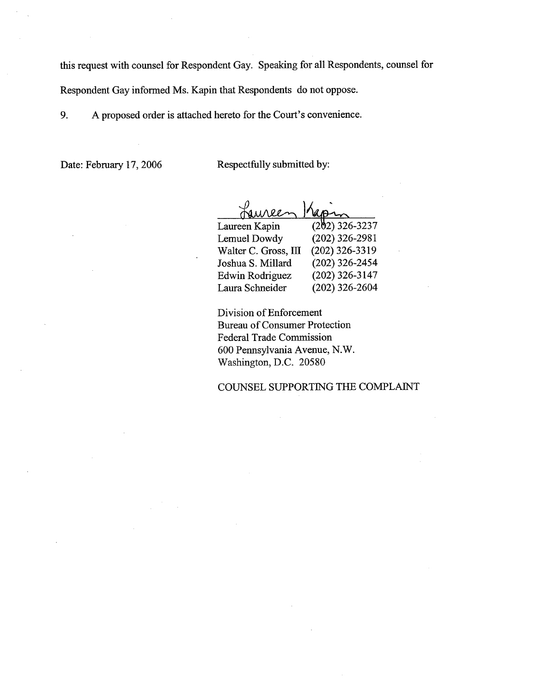this request with counsel for Respondent Gay. Speaking for all Respondents, counsel for

Respondent Gay informed Ms. Kapin that Respondents do not oppose.

9. A proposed order is attached hereto for the Cour's convenience.

Date: February 17, 2006 Respectfully submitted by:

| $(202)$ 326-3237 |
|------------------|
| $(202)$ 326-2981 |
| $(202)$ 326-3319 |
| $(202)$ 326-2454 |
| $(202)$ 326-3147 |
| $(202)$ 326-2604 |
|                  |

Division of Enforcement Bureau of Consumer Protection Federal Trade Commission 600 Pennsylvania Avenue, N.W. Washington, D.C. 20580

COUNSEL SUPPORTING THE COMPLAIT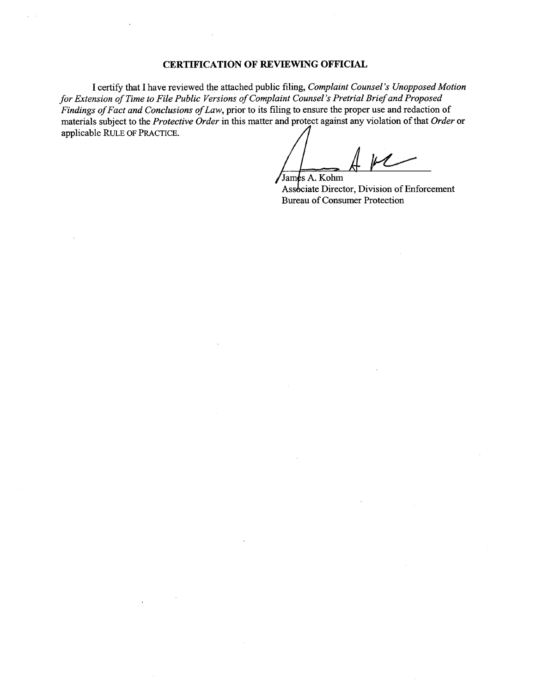## **CERTIFICATION OF REVIEWING OFFICIAL**

I certify that I have reviewed the attached public filing, Complaint Counsel's Unopposed Motion for Extension of Time to File Public Versions of Complaint Counsel's Pretrial Brief and Proposed Findings of Fact and Conclusions of Law, prior to its filing to ensure the proper use and redaction of materials subject to the Protective Order in this matter and protect against any violation of that Order or applicable RULE OF PRACTICE.

/James A. Kohm Associate Director, Division of Enforcement Bureau of Consumer Protection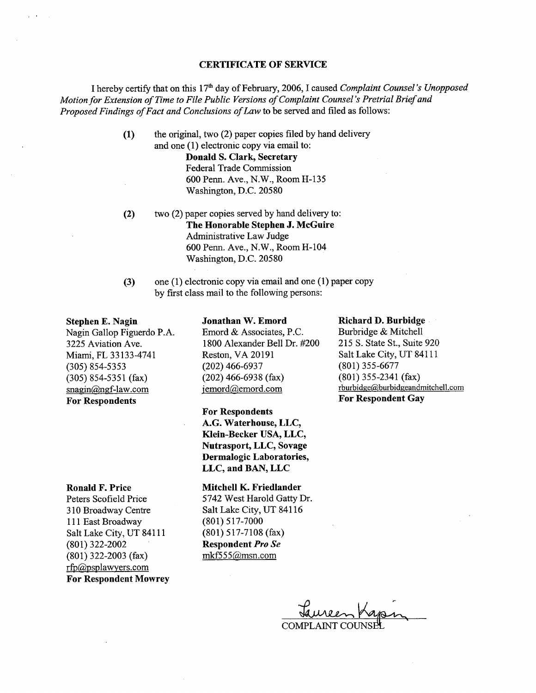#### CERTIFICATE OF SERVICE

I hereby certify that on this 17<sup>th</sup> day of February, 2006, I caused Complaint Counsel's Unopposed Motion for Extension of Time to File Public Versions of Complaint Counsel's Pretrial Brief and Proposed Findings of Fact and Conclusions of Law to be served and filed as follows:

> (1) the original, two (2) paper copies fied by hand delivery and one (1) electronic copy via email to:

Donald S. Clark, Secretary Federal Trade Commission <sup>600</sup>Penn. Ave., N.W., Room H-135 Washington, D.C. 20580

- (2) two (2) paper copies served by hand delivery to: The Honorable Stephen J. McGuire Administrative Law Judge 600 Penn. Ave., N.W., RoomH-104 Washington, D.C. 20580
- (3) one (1) electronic copy via email and one (1) paper copy by first class mail to the following persons:

#### Stephen E. Nagin

Nagin Gallop Figuerdo P.A. 3225 Aviation Ave. Miami, FL 33133-4741 (305) 854-5353 (305) 854-5351 (fax)  $snagin@ngf-law.com$ For Respondents

#### Ronald F. Price

Peters Scofield Price 310 Broadway Centre 111 East Broadway Salt Lake City, UT 84111 (801) 322-2002 (801) 322-2003 (fax)  $rfp$ @psplawyers.com For Respondent Mowrey

### Jonathan W. Emord

Emord & Associates, P.c. 1800 Alexander Bell Dr. #200 Reston, VA 20191 (202) 466-6937 (202) 466-6938 (fax) jemord@emord.com

For Respondents

A.G. Waterhouse, LLC, Klein-Becker USA, LLC, Nutrasport, LLC, Sovage Dermalogic Laboratories, LLC, and BAN, LLC

Mitchell K. Friedlander 5742 West Harold Gatty Dr. Salt Lake City, UT 84116 (801) 517-7000 (801) 517-7108 (fax) Respondent Pro Se  $mkf555@mmn.com$ 

#### Richard D. Burbidge

Burbridge & Mitchell 215 S. State St., Suite 920 Salt Lake City, UT 84111 (801) 355-6677 (801) 355-2341 (fax) rburbidge@burbidgeandmitchell.com For Respondent Gay

 $\theta$ COMPLAINT COUNSEL